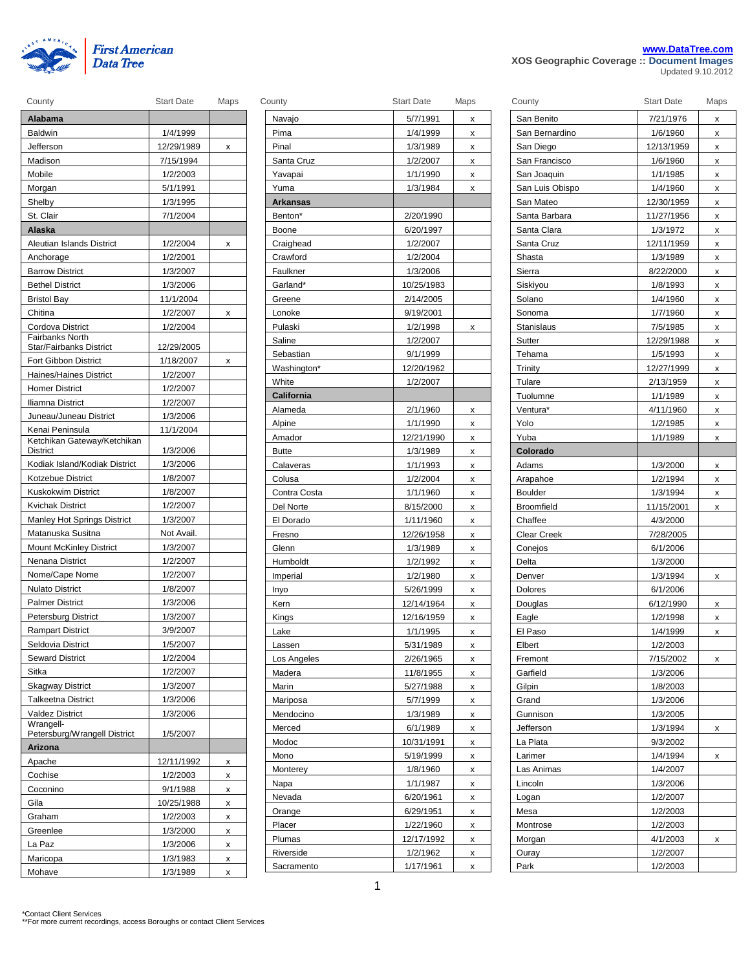

|                                               | www.DataTree.com |
|-----------------------------------------------|------------------|
| As concert to Association Resources the costs |                  |

**XOS Geographic Coverage :: Document Images** Updated 9.10.2012

| County                                         | <b>Start Date</b> | Maps | County              | <b>Start Date</b> | Maps | County            | <b>Start Date</b> | Maps |
|------------------------------------------------|-------------------|------|---------------------|-------------------|------|-------------------|-------------------|------|
| Alabama                                        |                   |      | Navajo              | 5/7/1991          | X    | San Benito        | 7/21/1976         | x    |
| <b>Baldwin</b>                                 | 1/4/1999          |      | Pima                | 1/4/1999          | X    | San Bernardino    | 1/6/1960          | x    |
| Jefferson                                      | 12/29/1989        | x    | Pinal               | 1/3/1989          | X    | San Diego         | 12/13/1959        | x    |
| Madison                                        | 7/15/1994         |      | Santa Cruz          | 1/2/2007          | x    | San Francisco     | 1/6/1960          | x    |
| Mobile                                         | 1/2/2003          |      | Yavapai             | 1/1/1990          | x    | San Joaquin       | 1/1/1985          | x    |
| Morgan                                         | 5/1/1991          |      | Yuma                | 1/3/1984          | x    | San Luis Obispo   | 1/4/1960          | x    |
| Shelby                                         | 1/3/1995          |      | Arkansas            |                   |      | San Mateo         | 12/30/1959        | X    |
| St. Clair                                      | 7/1/2004          |      | Benton <sup>*</sup> | 2/20/1990         |      | Santa Barbara     | 11/27/1956        | x    |
| Alaska                                         |                   |      | Boone               | 6/20/1997         |      | Santa Clara       | 1/3/1972          | X    |
| Aleutian Islands District                      | 1/2/2004          | x    | Craighead           | 1/2/2007          |      | Santa Cruz        | 12/11/1959        | X    |
| Anchorage                                      | 1/2/2001          |      | Crawford            | 1/2/2004          |      | Shasta            | 1/3/1989          | X    |
| <b>Barrow District</b>                         | 1/3/2007          |      | Faulkner            | 1/3/2006          |      | Sierra            | 8/22/2000         | X    |
| <b>Bethel District</b>                         | 1/3/2006          |      | Garland*            | 10/25/1983        |      | Siskiyou          | 1/8/1993          | x    |
| <b>Bristol Bay</b>                             | 11/1/2004         |      | Greene              | 2/14/2005         |      | Solano            | 1/4/1960          | x    |
| Chitina                                        | 1/2/2007          | x    | Lonoke              | 9/19/2001         |      | Sonoma            | 1/7/1960          | X    |
| Cordova District                               | 1/2/2004          |      | Pulaski             | 1/2/1998          | x    | Stanislaus        | 7/5/1985          | x    |
| <b>Fairbanks North</b>                         |                   |      | Saline              | 1/2/2007          |      | Sutter            | 12/29/1988        | X    |
| Star/Fairbanks District                        | 12/29/2005        |      | Sebastian           | 9/1/1999          |      | Tehama            | 1/5/1993          | X    |
| <b>Fort Gibbon District</b>                    | 1/18/2007         | x    | Washington*         | 12/20/1962        |      | Trinity           | 12/27/1999        | X    |
| Haines/Haines District                         | 1/2/2007          |      | White               | 1/2/2007          |      | Tulare            | 2/13/1959         | X    |
| <b>Homer District</b>                          | 1/2/2007          |      | California          |                   |      | Tuolumne          | 1/1/1989          | X    |
| Iliamna District                               | 1/2/2007          |      | Alameda             | 2/1/1960          | x    | Ventura*          | 4/11/1960         | x    |
| Juneau/Juneau District                         | 1/3/2006          |      | Alpine              | 1/1/1990          | x    | Yolo              | 1/2/1985          | x    |
| Kenai Peninsula<br>Ketchikan Gateway/Ketchikan | 11/1/2004         |      | Amador              | 12/21/1990        | x    | Yuba              | 1/1/1989          | x    |
| District                                       | 1/3/2006          |      | <b>Butte</b>        | 1/3/1989          | x    | Colorado          |                   |      |
| Kodiak Island/Kodiak District                  | 1/3/2006          |      | Calaveras           | 1/1/1993          | х    | Adams             | 1/3/2000          | X    |
| Kotzebue District                              | 1/8/2007          |      | Colusa              | 1/2/2004          | x    | Arapahoe          | 1/2/1994          | x    |
| Kuskokwim District                             | 1/8/2007          |      | Contra Costa        | 1/1/1960          | x    | <b>Boulder</b>    | 1/3/1994          | X    |
| Kvichak District                               | 1/2/2007          |      | Del Norte           | 8/15/2000         | X    | <b>Broomfield</b> | 11/15/2001        | X    |
| Manley Hot Springs District                    | 1/3/2007          |      | El Dorado           | 1/11/1960         | x    | Chaffee           | 4/3/2000          |      |
| Matanuska Susitna                              | Not Avail.        |      | Fresno              | 12/26/1958        | x    | Clear Creek       | 7/28/2005         |      |
| <b>Mount McKinley District</b>                 | 1/3/2007          |      | Glenn               | 1/3/1989          | x    | Conejos           | 6/1/2006          |      |
| Nenana District                                | 1/2/2007          |      | Humboldt            | 1/2/1992          | x    | Delta             | 1/3/2000          |      |
| Nome/Cape Nome                                 | 1/2/2007          |      | Imperial            | 1/2/1980          | x    | Denver            | 1/3/1994          | X    |
| <b>Nulato District</b>                         | 1/8/2007          |      | Inyo                | 5/26/1999         | х    | Dolores           | 6/1/2006          |      |
| <b>Palmer District</b>                         | 1/3/2006          |      | Kern                | 12/14/1964        | x    | Douglas           | 6/12/1990         | x    |
| <b>Petersburg District</b>                     | 1/3/2007          |      | Kings               | 12/16/1959        | x    | Eagle             | 1/2/1998          | X    |
| <b>Rampart District</b>                        | 3/9/2007          |      | Lake                | 1/1/1995          | x    | El Paso           | 1/4/1999          | X    |
| Seldovia District                              | 1/5/2007          |      | Lassen              | 5/31/1989         | x    | Elbert            | 1/2/2003          |      |
| <b>Seward District</b>                         | 1/2/2004          |      | Los Angeles         | 2/26/1965         | x    | Fremont           | 7/15/2002         | X    |
| Sitka                                          | 1/2/2007          |      | Madera              | 11/8/1955         | X    | Garfield          | 1/3/2006          |      |
| <b>Skagway District</b>                        | 1/3/2007          |      | Marin               | 5/27/1988         | x    | Gilpin            | 1/8/2003          |      |
| <b>Talkeetna District</b>                      | 1/3/2006          |      | Mariposa            | 5/7/1999          | х    | Grand             | 1/3/2006          |      |
| <b>Valdez District</b><br>Wrangell-            | 1/3/2006          |      | Mendocino           | 1/3/1989          | x    | Gunnison          | 1/3/2005          |      |
| Petersburg/Wrangell District                   | 1/5/2007          |      | Merced              | 6/1/1989          | X    | Jefferson         | 1/3/1994          | X    |
| Arizona                                        |                   |      | Modoc               | 10/31/1991        | X    | La Plata          | 9/3/2002          |      |
| Apache                                         | 12/11/1992        | x    | Mono                | 5/19/1999         | x    | Larimer           | 1/4/1994          | X    |
| Cochise                                        | 1/2/2003          | x    | Monterey            | 1/8/1960          | x    | Las Animas        | 1/4/2007          |      |
| Coconino                                       | 9/1/1988          | x    | Napa                | 1/1/1987          | x    | Lincoln           | 1/3/2006          |      |
| Gila                                           | 10/25/1988        | x    | Nevada              | 6/20/1961         | X    | Logan             | 1/2/2007          |      |
| Graham                                         | 1/2/2003          | x    | Orange              | 6/29/1951         | x    | Mesa              | 1/2/2003          |      |
| Greenlee                                       | 1/3/2000          | x    | Placer              | 1/22/1960         | x    | Montrose          | 1/2/2003          |      |
| La Paz                                         | 1/3/2006          | x    | Plumas              | 12/17/1992        | x    | Morgan            | 4/1/2003          | X    |
| Maricopa                                       | 1/3/1983          | x    | Riverside           | 1/2/1962          | X    | Ouray             | 1/2/2007          |      |
| Mohave                                         | 1/3/1989          | x    | Sacramento          | 1/17/1961         | x    | Park              | 1/2/2003          |      |

| ∪ounty              | Sian Dale              | iviaps |
|---------------------|------------------------|--------|
| Navajo              | 5/7/1991               | x      |
| Pima                | 1/4/1999               | x      |
| Pinal               | 1/3/1989               | Χ      |
| Santa Cruz          | 1/2/2007               | Χ      |
| Yavapai             | 1/1/1990               | x      |
| Yuma                | 1/3/1984               | x      |
| <b>Arkansas</b>     |                        |        |
| Benton*             | 2/20/1990              |        |
| Boone               | 6/20/1997              |        |
| Craighead           | 1/2/2007               |        |
| Crawford            | 1/2/2004               |        |
| Faulkner            | 1/3/2006               |        |
| Garland*            | 10/25/1983             |        |
| Greene              | 2/14/2005              |        |
| Lonoke              | 9/19/2001              |        |
| Pulaski             | 1/2/1998               | X      |
| Saline              | 1/2/2007               |        |
| Sebastian           | 9/1/1999               |        |
| Washington*         | 12/20/1962             |        |
| White               | 1/2/2007               |        |
| California          |                        |        |
| Alameda             | 2/1/1960               | x      |
| Alpine              | 1/1/1990               | Χ      |
| Amador              | 12/21/1990             | Χ      |
| <b>Butte</b>        | 1/3/1989               | X      |
| Calaveras           | 1/1/1993               | Χ      |
| Colusa              | 1/2/2004               | Χ      |
| Contra Costa        | 1/1/1960               | x      |
| Del Norte           | 8/15/2000              | Χ      |
| El Dorado           | 1/11/1960              | X      |
| Fresno              | 12/26/1958             | Χ      |
| Glenn               | 1/3/1989               | X      |
| Humboldt            | 1/2/1992               | Χ      |
| Imperial            | 1/2/1980               | x      |
| Inyo                | 5/26/1999              | Χ      |
| Kern                | 12/14/1964             | X      |
| Kings               | 12/16/1959             | x      |
| Lake                | 1/1/1995               | X      |
| Lassen              | 5/31/1989              | х      |
| Los Angeles         | 2/26/1965              | x      |
| Madera              | 11/8/1955              | x      |
| Marin               | 5/27/1988              | x      |
| Mariposa            | 5/7/1999               | x      |
| Mendocino           | 1/3/1989               | x      |
| Merced              | 6/1/1989               | x      |
| Modoc               | 10/31/1991             | x      |
| Mono                | 5/19/1999              | х      |
| <b>Monterey</b>     | 1/8/1960               | x      |
| Napa                | 1/1/1987               | Χ      |
| Nevada              | 6/20/1961              | Χ      |
| Orange              | 6/29/1951              | x      |
|                     |                        |        |
|                     |                        |        |
| Placer              | 1/22/1960              | x      |
| Plumas<br>Riverside | 12/17/1992<br>1/2/1962 | x<br>x |

| County             | <b>Start Date</b> | Maps |
|--------------------|-------------------|------|
| San Benito         | 7/21/1976         | x    |
| San Bernardino     | 1/6/1960          | x    |
| San Diego          | 12/13/1959        | x    |
| San Francisco      | 1/6/1960          | x    |
| San Joaquin        | 1/1/1985          | x    |
| San Luis Obispo    | 1/4/1960          | x    |
| San Mateo          | 12/30/1959        | x    |
| Santa Barbara      | 11/27/1956        | x    |
| Santa Clara        | 1/3/1972          | x    |
| Santa Cruz         | 12/11/1959        | x    |
| Shasta             | 1/3/1989          | X    |
| Sierra             | 8/22/2000         | x    |
| Siskiyou           | 1/8/1993          | x    |
| Solano             | 1/4/1960          | X    |
| Sonoma             | 1/7/1960          | x    |
| Stanislaus         | 7/5/1985          | x    |
| Sutter             | 12/29/1988        | x    |
| Tehama             | 1/5/1993          | x    |
| Trinity            | 12/27/1999        | x    |
| Tulare             | 2/13/1959         | x    |
| Tuolumne           | 1/1/1989          | X    |
| Ventura*           | 4/11/1960         | x    |
| Yolo               | 1/2/1985          | x    |
| Yuba               | 1/1/1989          | x    |
| Colorado           |                   |      |
| Adams              | 1/3/2000          | x    |
| Arapahoe           | 1/2/1994          | x    |
| <b>Boulder</b>     | 1/3/1994          | x    |
| Broomfield         | 11/15/2001        | x    |
| Chaffee            | 4/3/2000          |      |
| <b>Clear Creek</b> | 7/28/2005         |      |
| Conejos            | 6/1/2006          |      |
| Delta              | 1/3/2000          |      |
| Denver             | 1/3/1994          | x    |
| Dolores            | 6/1/2006          |      |
| Douglas            | 6/12/1990         | x    |
| Eagle              | 1/2/1998          | x    |
| El Paso            | 1/4/1999          | x    |
| Elbert             | 1/2/2003          |      |
| Fremont            | 7/15/2002         | x    |
| Garfield           | 1/3/2006          |      |
| Gilpin             | 1/8/2003          |      |
| Grand              | 1/3/2006          |      |
| Gunnison           | 1/3/2005          |      |
| Jefferson          | 1/3/1994          | x    |
| La Plata           | 9/3/2002          |      |
| Larimer            | 1/4/1994          | x    |
| Las Animas         | 1/4/2007          |      |
| Lincoln            | 1/3/2006          |      |
| Logan              | 1/2/2007          |      |
| Mesa               | 1/2/2003          |      |
| Montrose           | 1/2/2003          |      |
| Morgan             | 4/1/2003          | х    |
| Ouray              | 1/2/2007          |      |
| Park               | 1/2/2003          |      |
|                    |                   |      |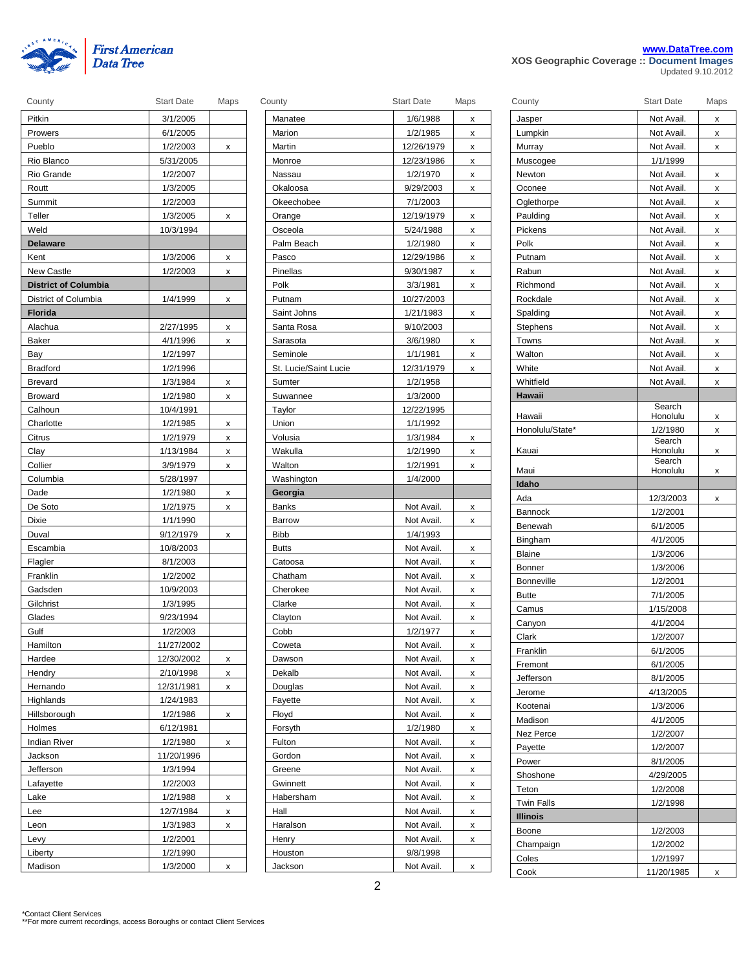

|  | www.DataTree.com |  |
|--|------------------|--|
|  |                  |  |

**XOS Geographic Coverage :: Document Images** Updated 9.10.2012

| Pitkin                      | 3/1/2005   |   |
|-----------------------------|------------|---|
| Prowers                     | 6/1/2005   |   |
| Pueblo                      | 1/2/2003   | x |
| Rio Blanco                  | 5/31/2005  |   |
| Rio Grande                  | 1/2/2007   |   |
| Routt                       | 1/3/2005   |   |
| Summit                      | 1/2/2003   |   |
| Teller                      | 1/3/2005   | x |
| Weld                        | 10/3/1994  |   |
| <b>Delaware</b>             |            |   |
| Kent                        | 1/3/2006   | X |
| <b>New Castle</b>           | 1/2/2003   | X |
| <b>District of Columbia</b> |            |   |
| District of Columbia        | 1/4/1999   | x |
| Florida                     |            |   |
| Alachua                     | 2/27/1995  | х |
| Baker                       | 4/1/1996   | x |
| Bay                         | 1/2/1997   |   |
| <b>Bradford</b>             | 1/2/1996   |   |
| <b>Brevard</b>              | 1/3/1984   | х |
| <b>Broward</b>              | 1/2/1980   | x |
| Calhoun                     | 10/4/1991  |   |
| Charlotte                   | 1/2/1985   | x |
| Citrus                      | 1/2/1979   | x |
| Clay                        | 1/13/1984  | x |
| Collier                     | 3/9/1979   | x |
| Columbia                    | 5/28/1997  |   |
| Dade                        | 1/2/1980   | x |
| De Soto                     | 1/2/1975   | x |
| Dixie                       | 1/1/1990   |   |
| Duval                       | 9/12/1979  | х |
| Escambia                    | 10/8/2003  |   |
| Flagler                     | 8/1/2003   |   |
| Franklin                    | 1/2/2002   |   |
| Gadsden                     | 10/9/2003  |   |
| Gilchrist                   | 1/3/1995   |   |
| Glades                      | 9/23/1994  |   |
| Gulf                        | 1/2/2003   |   |
| Hamilton                    | 11/27/2002 |   |
| Hardee                      | 12/30/2002 | x |
| Hendry                      | 2/10/1998  | x |
| Hernando                    | 12/31/1981 | x |
| Highlands                   | 1/24/1983  |   |
| Hillsborough                | 1/2/1986   | х |
| Holmes                      | 6/12/1981  |   |
| <b>Indian River</b>         | 1/2/1980   | x |
| Jackson                     | 11/20/1996 |   |
| Jefferson                   | 1/3/1994   |   |
| Lafayette                   | 1/2/2003   |   |
| Lake                        | 1/2/1988   | x |
| Lee                         | 12/7/1984  | x |
| Leon                        | 1/3/1983   | x |
| Levy                        | 1/2/2001   |   |
| Liberty                     | 1/2/1990   |   |
| Madison                     | 1/3/2000   | X |

| County                      | <b>Start Date</b> | Maps | County                | <b>Start Date</b> | Maps |
|-----------------------------|-------------------|------|-----------------------|-------------------|------|
| Pitkin                      | 3/1/2005          |      | Manatee               | 1/6/1988          | x    |
| Prowers                     | 6/1/2005          |      | Marion                | 1/2/1985          | x    |
| Pueblo                      | 1/2/2003          | x    | Martin                | 12/26/1979        | x    |
| Rio Blanco                  | 5/31/2005         |      | Monroe                | 12/23/1986        | x    |
| Rio Grande                  | 1/2/2007          |      | Nassau                | 1/2/1970          | x    |
| Routt                       | 1/3/2005          |      | Okaloosa              | 9/29/2003         | х    |
| Summit                      | 1/2/2003          |      | Okeechobee            | 7/1/2003          |      |
| Teller                      | 1/3/2005          | x    | Orange                | 12/19/1979        | x    |
| Weld                        | 10/3/1994         |      | Osceola               | 5/24/1988         | x    |
| <b>Delaware</b>             |                   |      | Palm Beach            | 1/2/1980          | x    |
| Kent                        | 1/3/2006          | x    | Pasco                 | 12/29/1986        | x    |
| <b>New Castle</b>           | 1/2/2003          | x    | Pinellas              | 9/30/1987         | x    |
| <b>District of Columbia</b> |                   |      | Polk                  | 3/3/1981          | х    |
| District of Columbia        | 1/4/1999          | x    | Putnam                | 10/27/2003        |      |
| Florida                     |                   |      | Saint Johns           | 1/21/1983         | х    |
| Alachua                     | 2/27/1995         | x    | Santa Rosa            | 9/10/2003         |      |
| Baker                       | 4/1/1996          | x    | Sarasota              | 3/6/1980          | x    |
| Bay                         | 1/2/1997          |      | Seminole              | 1/1/1981          | x    |
| <b>Bradford</b>             | 1/2/1996          |      | St. Lucie/Saint Lucie | 12/31/1979        | x    |
| Brevard                     | 1/3/1984          | x    | Sumter                | 1/2/1958          |      |
| <b>Broward</b>              | 1/2/1980          | x    | Suwannee              | 1/3/2000          |      |
| Calhoun                     | 10/4/1991         |      | Taylor                | 12/22/1995        |      |
| Charlotte                   | 1/2/1985          | x    | Union                 | 1/1/1992          |      |
| Citrus                      | 1/2/1979          | x    | Volusia               | 1/3/1984          | х    |
| Clay                        | 1/13/1984         | x    | Wakulla               | 1/2/1990          | x    |
| Collier                     | 3/9/1979          | x    | Walton                | 1/2/1991          | x    |
| Columbia                    | 5/28/1997         |      | Washington            | 1/4/2000          |      |
| Dade                        | 1/2/1980          | x    | Georgia               |                   |      |
| De Soto                     | 1/2/1975          | x    | Banks                 | Not Avail.        | x    |
| Dixie                       | 1/1/1990          |      | Barrow                | Not Avail.        | x    |
| Duval                       | 9/12/1979         | x    | <b>Bibb</b>           | 1/4/1993          |      |
| Escambia                    | 10/8/2003         |      | <b>Butts</b>          | Not Avail.        | x    |
| Flagler                     | 8/1/2003          |      | Catoosa               | Not Avail.        | x    |
| Franklin                    | 1/2/2002          |      | Chatham               | Not Avail.        | x    |
| Gadsden                     | 10/9/2003         |      | Cherokee              | Not Avail.        | x    |
| Gilchrist                   | 1/3/1995          |      | Clarke                | Not Avail.        | x    |
| Glades                      | 9/23/1994         |      | Clayton               | Not Avail.        | x    |
| Gulf                        | 1/2/2003          |      | Cobb                  | 1/2/1977          | x    |
| Hamilton                    | 11/27/2002        |      | Coweta                | Not Avail.        | x    |
| Hardee                      | 12/30/2002        | х    | Dawson                | Not Avail.        | x    |
| Hendry                      | 2/10/1998         | x    | Dekalb                | Not Avail.        | x    |
| Hernando                    | 12/31/1981        | X    | Douglas               | Not Avail.        | x    |
| Highlands                   | 1/24/1983         |      | Fayette               | Not Avail.        | x    |
| Hillsborough                | 1/2/1986          | x    | Floyd                 | Not Avail.        | x    |
| Holmes                      | 6/12/1981         |      | Forsyth               | 1/2/1980          | x    |
| <b>Indian River</b>         | 1/2/1980          | X    | Fulton                | Not Avail.        | x    |
| Jackson                     | 11/20/1996        |      | Gordon                | Not Avail.        | x    |
| Jefferson                   | 1/3/1994          |      | Greene                | Not Avail.        | x    |
| Lafayette                   | 1/2/2003          |      | Gwinnett              | Not Avail.        | х    |
| Lake                        | 1/2/1988          | x    | Habersham             | Not Avail.        | x    |
| Lee                         | 12/7/1984         | x    | Hall                  | Not Avail.        | x    |
| Leon                        | 1/3/1983          | x    | Haralson              | Not Avail.        | X    |
| Levy                        | 1/2/2001          |      | Henry                 | Not Avail.        | x    |
| Liberty                     | 1/2/1990          |      | Houston               | 9/8/1998          |      |
| Madison                     | 1/3/2000          | X    | Jackson               | Not Avail.        | x    |
|                             |                   |      |                       |                   |      |

| County            | <b>Start Date</b>  | Maps |
|-------------------|--------------------|------|
| Jasper            | Not Avail.         | х    |
| Lumpkin           | Not Avail.         | x    |
| Murray            | Not Avail.         | x    |
| Muscogee          | 1/1/1999           |      |
| Newton            | Not Avail.         | x    |
| Oconee            | Not Avail.         | x    |
| Oglethorpe        | Not Avail.         | x    |
| Paulding          | Not Avail.         | x    |
| Pickens           | Not Avail.         | х    |
| Polk              | Not Avail.         | x    |
| Putnam            | Not Avail.         | x    |
| Rabun             | Not Avail.         | x    |
| Richmond          | Not Avail.         | x    |
| Rockdale          | Not Avail.         | x    |
| Spalding          | Not Avail.         | x    |
| Stephens          | Not Avail.         | x    |
| Towns             | Not Avail.         | x    |
| Walton            | Not Avail.         | x    |
| White             | Not Avail.         | x    |
| Whitfield         | Not Avail.         | x    |
| Hawaii            |                    |      |
|                   | Search             |      |
| Hawaii            | Honolulu           | x    |
| Honolulu/State*   | 1/2/1980           | X    |
| Kauai             | Search<br>Honolulu | х    |
|                   | Search             |      |
| Maui              | Honolulu           | х    |
| Idaho             |                    |      |
| Ada               | 12/3/2003          | x    |
| Bannock           | 1/2/2001           |      |
| Benewah           | 6/1/2005           |      |
| Bingham           | 4/1/2005           |      |
| <b>Blaine</b>     | 1/3/2006           |      |
| <b>Bonner</b>     | 1/3/2006           |      |
| Bonneville        | 1/2/2001           |      |
| <b>Butte</b>      | 7/1/2005           |      |
| Camus             | 1/15/2008          |      |
| Canyon            | 4/1/2004           |      |
| Clark             | 1/2/2007           |      |
| Franklin          | 6/1/2005           |      |
| Fremont           | 6/1/2005           |      |
| Jefferson         | 8/1/2005           |      |
| Jerome            | 4/13/2005          |      |
| Kootenai          | 1/3/2006           |      |
| Madison           | 4/1/2005           |      |
| Nez Perce         | 1/2/2007           |      |
| Payette           | 1/2/2007           |      |
| Power             | 8/1/2005           |      |
| Shoshone          | 4/29/2005          |      |
| Teton             | 1/2/2008           |      |
| <b>Twin Falls</b> | 1/2/1998           |      |
| <b>Illinois</b>   |                    |      |
| Boone             | 1/2/2003           |      |
| Champaign         | 1/2/2002           |      |
| Coles             | 1/2/1997           |      |
| Cook              | 11/20/1985         | х    |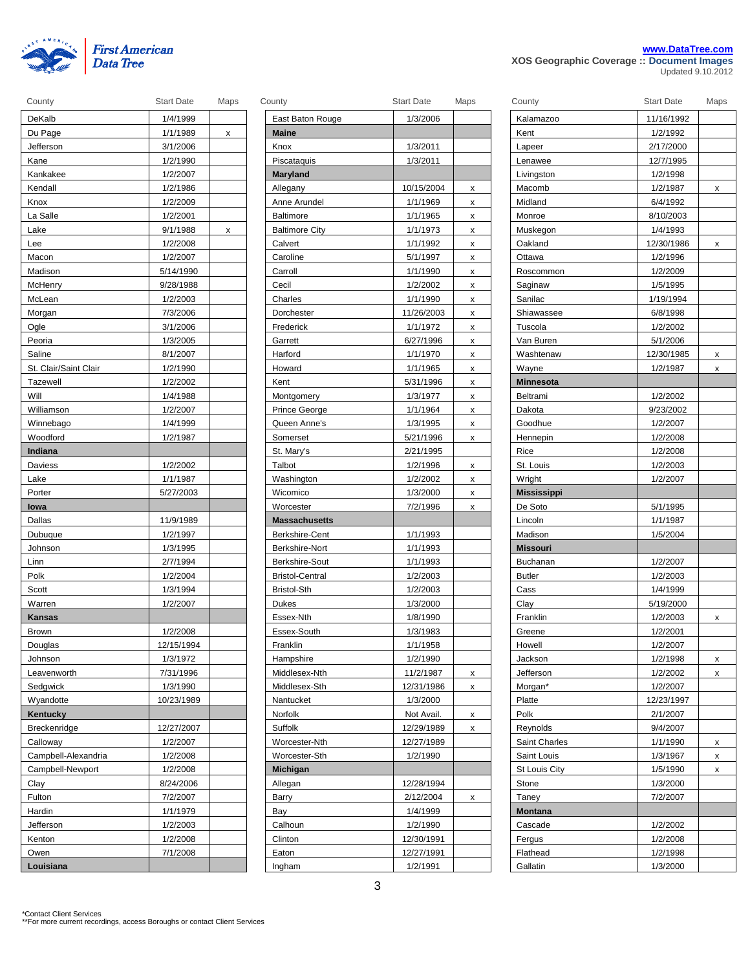

|  | www.DataTree.com                           |  |
|--|--------------------------------------------|--|
|  | XOS Geographic Coverage :: Document Images |  |

Updated 9.10.2012

| County                | <b>Start Date</b> | Maps | County                 | <b>Start Date</b> | Maps           | County             | <b>Start Date</b> | Maps         |
|-----------------------|-------------------|------|------------------------|-------------------|----------------|--------------------|-------------------|--------------|
| DeKalb                | 1/4/1999          |      | East Baton Rouge       | 1/3/2006          |                | Kalamazoo          | 11/16/1992        |              |
| Du Page               | 1/1/1989          | X    | Maine                  |                   |                | Kent               | 1/2/1992          |              |
| Jefferson             | 3/1/2006          |      | Knox                   | 1/3/2011          |                | Lapeer             | 2/17/2000         |              |
| Kane                  | 1/2/1990          |      | Piscataquis            | 1/3/2011          |                | Lenawee            | 12/7/1995         |              |
| Kankakee              | 1/2/2007          |      | Maryland               |                   |                | Livingston         | 1/2/1998          |              |
| Kendall               | 1/2/1986          |      | Allegany               | 10/15/2004        | x              | Macomb             | 1/2/1987          | X            |
| Knox                  | 1/2/2009          |      | Anne Arundel           | 1/1/1969          | $\pmb{\times}$ | Midland            | 6/4/1992          |              |
| La Salle              | 1/2/2001          |      | <b>Baltimore</b>       | 1/1/1965          | x              | Monroe             | 8/10/2003         |              |
| Lake                  | 9/1/1988          | x    | <b>Baltimore City</b>  | 1/1/1973          | х              | Muskegon           | 1/4/1993          |              |
| Lee                   | 1/2/2008          |      | Calvert                | 1/1/1992          | x              | Oakland            | 12/30/1986        | X            |
| Macon                 | 1/2/2007          |      | Caroline               | 5/1/1997          | x              | Ottawa             | 1/2/1996          |              |
| Madison               | 5/14/1990         |      | Carroll                | 1/1/1990          | x              | Roscommon          | 1/2/2009          |              |
| McHenry               | 9/28/1988         |      | Cecil                  | 1/2/2002          | х              | Saginaw            | 1/5/1995          |              |
| McLean                | 1/2/2003          |      | Charles                | 1/1/1990          | х              | Sanilac            | 1/19/1994         |              |
| Morgan                | 7/3/2006          |      | Dorchester             | 11/26/2003        | х              | Shiawassee         | 6/8/1998          |              |
| Ogle                  | 3/1/2006          |      | Frederick              | 1/1/1972          | X              | Tuscola            | 1/2/2002          |              |
| Peoria                | 1/3/2005          |      | Garrett                | 6/27/1996         | x              | Van Buren          | 5/1/2006          |              |
| Saline                | 8/1/2007          |      | Harford                | 1/1/1970          | x              | Washtenaw          | 12/30/1985        | X            |
| St. Clair/Saint Clair | 1/2/1990          |      | Howard                 | 1/1/1965          | x              | Wayne              | 1/2/1987          | X            |
| Tazewell              | 1/2/2002          |      | Kent                   | 5/31/1996         | x              | <b>Minnesota</b>   |                   |              |
| Will                  | 1/4/1988          |      | Montgomery             | 1/3/1977          | x              | Beltrami           | 1/2/2002          |              |
| Williamson            | 1/2/2007          |      | Prince George          | 1/1/1964          | х              | Dakota             | 9/23/2002         |              |
| Winnebago             | 1/4/1999          |      | Queen Anne's           | 1/3/1995          | x              | Goodhue            | 1/2/2007          |              |
| Woodford              | 1/2/1987          |      | Somerset               | 5/21/1996         | x              | Hennepin           | 1/2/2008          |              |
| Indiana               |                   |      | St. Mary's             | 2/21/1995         |                | Rice               | 1/2/2008          |              |
| Daviess               | 1/2/2002          |      | Talbot                 | 1/2/1996          | x              | St. Louis          | 1/2/2003          |              |
| Lake                  | 1/1/1987          |      | Washington             | 1/2/2002          | x              | Wright             | 1/2/2007          |              |
| Porter                | 5/27/2003         |      | Wicomico               | 1/3/2000          | х              | <b>Mississippi</b> |                   |              |
| lowa                  |                   |      | Worcester              | 7/2/1996          | х              | De Soto            | 5/1/1995          |              |
| Dallas                | 11/9/1989         |      | <b>Massachusetts</b>   |                   |                | Lincoln            | 1/1/1987          |              |
| Dubuque               | 1/2/1997          |      | Berkshire-Cent         | 1/1/1993          |                | Madison            | 1/5/2004          |              |
| Johnson               | 1/3/1995          |      | Berkshire-Nort         | 1/1/1993          |                | <b>Missouri</b>    |                   |              |
| Linn                  | 2/7/1994          |      | Berkshire-Sout         | 1/1/1993          |                | Buchanan           | 1/2/2007          |              |
| Polk                  | 1/2/2004          |      | <b>Bristol-Central</b> | 1/2/2003          |                | <b>Butler</b>      | 1/2/2003          |              |
| Scott                 | 1/3/1994          |      | Bristol-Sth            | 1/2/2003          |                | Cass               | 1/4/1999          |              |
| Warren                | 1/2/2007          |      | Dukes                  | 1/3/2000          |                | Clay               | 5/19/2000         |              |
| Kansas                |                   |      | Essex-Nth              | 1/8/1990          |                | Franklin           | 1/2/2003          | <b>X</b>     |
| Brown                 | 1/2/2008          |      | Essex-South            | 1/3/1983          |                | Greene             | 1/2/2001          |              |
| Douglas               | 12/15/1994        |      | Franklin               | 1/1/1958          |                | Howell             | 1/2/2007          |              |
| Johnson               | 1/3/1972          |      | Hampshire              | 1/2/1990          |                | Jackson            | 1/2/1998          | X            |
| Leavenworth           | 7/31/1996         |      | Middlesex-Nth          | 11/2/1987         | x              | Jefferson          | 1/2/2002          | $\mathsf{x}$ |
| Sedgwick              | 1/3/1990          |      | Middlesex-Sth          | 12/31/1986        | X              | Morgan*            | 1/2/2007          |              |
| Wyandotte             | 10/23/1989        |      | Nantucket              | 1/3/2000          |                | Platte             | 12/23/1997        |              |
| Kentucky              |                   |      | Norfolk                | Not Avail.        | x              | Polk               | 2/1/2007          |              |
| Breckenridge          | 12/27/2007        |      | Suffolk                | 12/29/1989        |                | Reynolds           | 9/4/2007          |              |
| Calloway              | 1/2/2007          |      | Worcester-Nth          | 12/27/1989        | x              | Saint Charles      | 1/1/1990          |              |
|                       | 1/2/2008          |      | Worcester-Sth          |                   |                |                    |                   | X            |
| Campbell-Alexandria   |                   |      |                        | 1/2/1990          |                | Saint Louis        | 1/3/1967          | X            |
| Campbell-Newport      | 1/2/2008          |      | Michigan               |                   |                | St Louis City      | 1/5/1990          | X            |
| Clay                  | 8/24/2006         |      | Allegan                | 12/28/1994        |                | Stone              | 1/3/2000          |              |
| Fulton                | 7/2/2007          |      | Barry                  | 2/12/2004         | x              | Taney              | 7/2/2007          |              |
| Hardin                | 1/1/1979          |      | Bay                    | 1/4/1999          |                | <b>Montana</b>     |                   |              |
| Jefferson             | 1/2/2003          |      | Calhoun                | 1/2/1990          |                | Cascade            | 1/2/2002          |              |
| Kenton                | 1/2/2008          |      | Clinton                | 12/30/1991        |                | Fergus             | 1/2/2008          |              |
| Owen                  | 7/1/2008          |      | Eaton                  | 12/27/1991        |                | Flathead           | 1/2/1998          |              |
| Louisiana             |                   |      | Ingham                 | 1/2/1991          |                | Gallatin           | 1/3/2000          |              |

| County                 | Start Date               | Maps |
|------------------------|--------------------------|------|
| East Baton Rouge       | 1/3/2006                 |      |
| <b>Maine</b>           |                          |      |
| Knox                   | 1/3/2011                 |      |
| Piscataquis            | 1/3/2011                 |      |
| <b>Maryland</b>        |                          |      |
| Allegany               | 10/15/2004               | x    |
| Anne Arundel           | 1/1/1969                 | х    |
| <b>Baltimore</b>       | 1/1/1965                 | X    |
| <b>Baltimore City</b>  | 1/1/1973                 | Χ    |
| Calvert                | 1/1/1992                 | x    |
| Caroline               | 5/1/1997                 | х    |
| Carroll                | 1/1/1990                 | x    |
| Cecil                  | 1/2/2002                 | x    |
| Charles                | 1/1/1990                 | х    |
| Dorchester             | 11/26/2003               | x    |
| Frederick              | 1/1/1972                 | Χ    |
| Garrett                | 6/27/1996                | x    |
| Harford                | 1/1/1970                 | x    |
| Howard                 | 1/1/1965                 | x    |
| Kent                   | 5/31/1996                | X    |
| Montgomery             | 1/3/1977                 | X    |
| Prince George          | 1/1/1964                 | x    |
| Queen Anne's           | 1/3/1995                 | x    |
| Somerset               | 5/21/1996                | x    |
| St. Mary's             | 2/21/1995                |      |
| Talbot                 | 1/2/1996                 | x    |
| Washington             | 1/2/2002                 | x    |
| Wicomico               | 1/3/2000                 | х    |
| Worcester              | 7/2/1996                 | x    |
| <b>Massachusetts</b>   |                          |      |
| Berkshire-Cent         | 1/1/1993                 |      |
| Berkshire-Nort         |                          |      |
|                        |                          |      |
|                        | 1/1/1993                 |      |
| Berkshire-Sout         | 1/1/1993                 |      |
| <b>Bristol-Central</b> | 1/2/2003                 |      |
| <b>Bristol-Sth</b>     | 1/2/2003                 |      |
| Dukes                  | 1/3/2000                 |      |
| Essex-Nth              | 1/8/1990                 |      |
| Essex-South            | 1/3/1983                 |      |
| Franklin               | 1/1/1958                 |      |
| Hampshire              | 1/2/1990                 |      |
| Middlesex-Nth          | 11/2/1987                | X    |
| Middlesex-Sth          | 12/31/1986               | X    |
| Nantucket              | 1/3/2000                 |      |
| Norfolk                | Not Avail.               | X    |
| Suffolk                | 12/29/1989               | x    |
| Worcester-Nth          | 12/27/1989               |      |
| Worcester-Sth          | 1/2/1990                 |      |
| Michigan               |                          |      |
| Allegan                | 12/28/1994               |      |
| Barry                  | 2/12/2004                | x    |
| Bay                    | 1/4/1999                 |      |
| Calhoun                | 1/2/1990                 |      |
| Clinton<br>Eaton       | 12/30/1991<br>12/27/1991 |      |

| County               | <b>Start Date</b>    | Maps |
|----------------------|----------------------|------|
| Kalamazoo            | 11/16/1992           |      |
| Kent                 | 1/2/1992             |      |
| Lapeer               | 2/17/2000            |      |
| Lenawee              | 12/7/1995            |      |
| Livingston           | 1/2/1998             |      |
| Macomb               | 1/2/1987             | х    |
| Midland              | 6/4/1992             |      |
| Monroe               | 8/10/2003            |      |
| Muskegon             | 1/4/1993             |      |
| Oakland              | 12/30/1986           | x    |
| Ottawa               | 1/2/1996             |      |
| Roscommon            | 1/2/2009             |      |
| Saginaw              | 1/5/1995             |      |
| Sanilac              | 1/19/1994            |      |
| Shiawassee           | 6/8/1998             |      |
| Tuscola              | 1/2/2002             |      |
| Van Buren            | 5/1/2006             |      |
| Washtenaw            | 12/30/1985           | x    |
| Wayne                | 1/2/1987             | x    |
| <b>Minnesota</b>     |                      |      |
| Beltrami             | 1/2/2002             |      |
| Dakota               | 9/23/2002            |      |
| Goodhue              | 1/2/2007             |      |
| Hennepin             | 1/2/2008             |      |
| Rice                 | 1/2/2008             |      |
| St. Louis            | 1/2/2003             |      |
| Wright               | 1/2/2007             |      |
|                      |                      |      |
| <b>Mississippi</b>   |                      |      |
| De Soto              | 5/1/1995             |      |
| Lincoln              | 1/1/1987             |      |
| Madison              | 1/5/2004             |      |
| <b>Missouri</b>      |                      |      |
| Buchanan             | 1/2/2007             |      |
| <b>Butler</b>        | 1/2/2003             |      |
| Cass                 | 1/4/1999             |      |
| Clay                 | 5/19/2000            |      |
| Franklin             | 1/2/2003             | x    |
| Greene               | 1/2/2001             |      |
| Howell               | 1/2/2007             |      |
| Jackson              | 1/2/1998             | x    |
| Jefferson            | 1/2/2002             | x    |
| Morgan*              | 1/2/2007             |      |
| Platte               | 12/23/1997           |      |
| Polk                 | 2/1/2007             |      |
| Reynolds             | 9/4/2007             |      |
| <b>Saint Charles</b> | 1/1/1990             | х    |
| Saint Louis          | 1/3/1967             | x    |
| <b>St Louis City</b> | 1/5/1990             | x    |
| Stone                | 1/3/2000             |      |
| Taney                | 7/2/2007             |      |
| <b>Montana</b>       |                      |      |
| Cascade              | 1/2/2002             |      |
| Fergus               | 1/2/2008             |      |
| Flathead<br>Gallatin | 1/2/1998<br>1/3/2000 |      |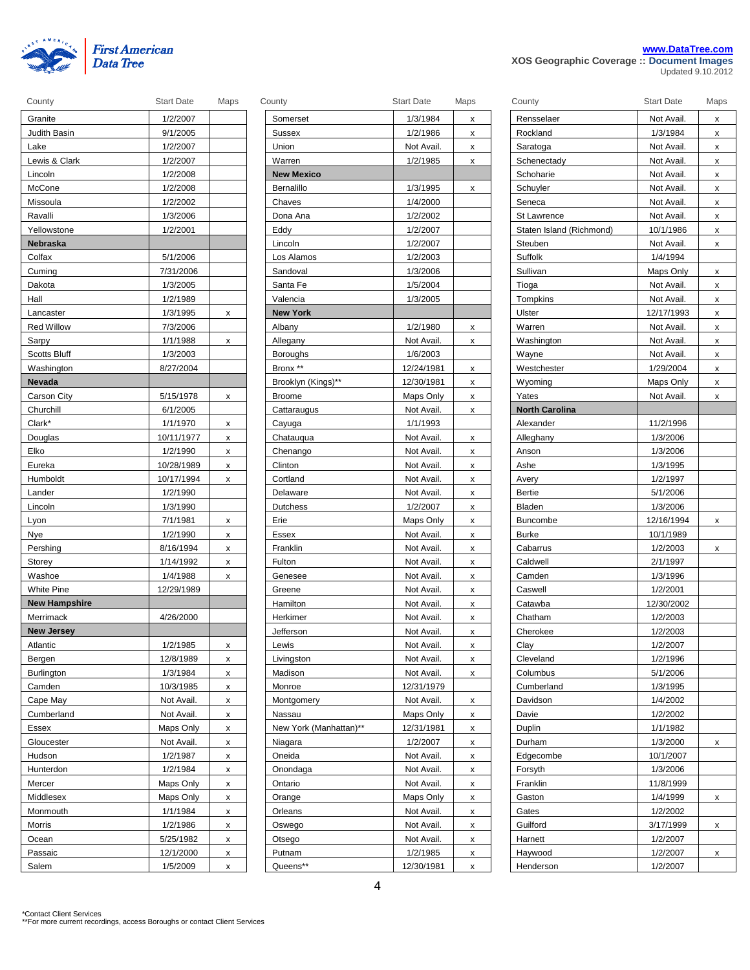

|  |  | www.DataTree.com                           |  |
|--|--|--------------------------------------------|--|
|  |  | XOS Geographic Coverage :: Document Images |  |

Updated 9.10.2012

| County               | <b>Start Date</b> | Maps   | County                 | <b>Start Date</b>       | Maps   | County                   | <b>Start Date</b> | Maps         |
|----------------------|-------------------|--------|------------------------|-------------------------|--------|--------------------------|-------------------|--------------|
| Granite              | 1/2/2007          |        | Somerset               | 1/3/1984                | X      | Rensselaer               | Not Avail.        | x            |
| Judith Basin         | 9/1/2005          |        | Sussex                 | 1/2/1986                | x      | Rockland                 | 1/3/1984          | x            |
| Lake                 | 1/2/2007          |        | Union                  | Not Avail.              | x      | Saratoga                 | Not Avail.        | X            |
| Lewis & Clark        | 1/2/2007          |        | Warren                 | 1/2/1985                | x      | Schenectady              | Not Avail.        | X            |
| Lincoln              | 1/2/2008          |        | <b>New Mexico</b>      |                         |        | Schoharie                | Not Avail.        | x            |
| McCone               | 1/2/2008          |        | Bernalillo             | 1/3/1995                | x      | Schuyler                 | Not Avail.        | $\mathsf{x}$ |
| Missoula             | 1/2/2002          |        | Chaves                 | 1/4/2000                |        | Seneca                   | Not Avail.        | X            |
| Ravalli              | 1/3/2006          |        | Dona Ana               | 1/2/2002                |        | St Lawrence              | Not Avail.        | x            |
| Yellowstone          | 1/2/2001          |        | Eddy                   | 1/2/2007                |        | Staten Island (Richmond) | 10/1/1986         | x            |
| Nebraska             |                   |        | Lincoln                | 1/2/2007                |        | Steuben                  | Not Avail.        | X            |
| Colfax               | 5/1/2006          |        | Los Alamos             | 1/2/2003                |        | Suffolk                  | 1/4/1994          |              |
| Cuming               | 7/31/2006         |        | Sandoval               | 1/3/2006                |        | Sullivan                 | Maps Only         | X            |
| Dakota               | 1/3/2005          |        | Santa Fe               | 1/5/2004                |        | Tioga                    | Not Avail.        | x            |
| Hall                 | 1/2/1989          |        | Valencia               | 1/3/2005                |        | Tompkins                 | Not Avail.        | X            |
| Lancaster            | 1/3/1995          | x      | <b>New York</b>        |                         |        | Ulster                   | 12/17/1993        | $\mathsf{x}$ |
| <b>Red Willow</b>    | 7/3/2006          |        | Albany                 | 1/2/1980                | x      | Warren                   | Not Avail.        | X            |
| Sarpy                | 1/1/1988          | x      | Allegany               | Not Avail.              | x      | Washington               | Not Avail.        | x            |
| Scotts Bluff         | 1/3/2003          |        | <b>Boroughs</b>        | 1/6/2003                |        | Wayne                    | Not Avail.        | X            |
| Washington           | 8/27/2004         |        | Bronx **               | 12/24/1981              | x      | Westchester              | 1/29/2004         | X            |
| Nevada               |                   |        | Brooklyn (Kings)**     | 12/30/1981              | x      | Wyoming                  | Maps Only         | X            |
| Carson City          | 5/15/1978         | х      | <b>Broome</b>          | Maps Only               | x      | Yates                    | Not Avail.        | X            |
| Churchill            | 6/1/2005          |        | Cattaraugus            | Not Avail.              | x      | <b>North Carolina</b>    |                   |              |
| Clark*               | 1/1/1970          | x      | Cayuga                 | 1/1/1993                |        | Alexander                | 11/2/1996         |              |
| Douglas              | 10/11/1977        | x      | Chatauqua              | Not Avail.              | x      | Alleghany                | 1/3/2006          |              |
| Elko                 | 1/2/1990          | x      | Chenango               | Not Avail.              | x      | Anson                    | 1/3/2006          |              |
| Eureka               | 10/28/1989        | x      | Clinton                | Not Avail.              | x      | Ashe                     | 1/3/1995          |              |
| Humboldt             | 10/17/1994        | x      | Cortland               | Not Avail.              | X      | Avery                    | 1/2/1997          |              |
| Lander               | 1/2/1990          |        | Delaware               | Not Avail.              | x      | Bertie                   | 5/1/2006          |              |
| Lincoln              | 1/3/1990          |        | Dutchess               | 1/2/2007                | х      | Bladen                   | 1/3/2006          |              |
| Lyon                 | 7/1/1981          | х      | Erie                   | Maps Only               | x      | <b>Buncombe</b>          | 12/16/1994        | X            |
| Nye                  | 1/2/1990          | x      | Essex                  | Not Avail.              | X      | <b>Burke</b>             | 10/1/1989         |              |
| Pershing             | 8/16/1994         | X      | Franklin               | Not Avail.              | x      | Cabarrus                 | 1/2/2003          | $\mathsf{X}$ |
| Storey               | 1/14/1992         | x      | Fulton                 | Not Avail.              | x      | Caldwell                 | 2/1/1997          |              |
| Washoe               | 1/4/1988          | x      | Genesee                | Not Avail.              | x      | Camden                   | 1/3/1996          |              |
| <b>White Pine</b>    | 12/29/1989        |        | Greene                 | Not Avail.              | x      | Caswell                  | 1/2/2001          |              |
| <b>New Hampshire</b> |                   |        | Hamilton               | Not Avail.              | x      | Catawba                  | 12/30/2002        |              |
| Merrimack            | 4/26/2000         |        | Herkimer               | Not Avail.              | x      | Chatham                  | 1/2/2003          |              |
| <b>New Jersey</b>    |                   |        | <b>Jefferson</b>       | Not Avail.              | x      | Cherokee                 | 1/2/2003          |              |
| Atlantic             | 1/2/1985          | x      | Lewis                  | Not Avail.              | x      | Clay                     | 1/2/2007          |              |
| Bergen               | 12/8/1989         | x      | Livingston             | Not Avail.              | x      | Cleveland                | 1/2/1996          |              |
| Burlington           | 1/3/1984          | X      | Madison                | Not Avail.              | x      | Columbus                 | 5/1/2006          |              |
| Camden               | 10/3/1985         | x      | Monroe                 | 12/31/1979              |        | Cumberland               | 1/3/1995          |              |
| Cape May             | Not Avail.        | x      | Montgomery             | Not Avail.              | x      | Davidson                 | 1/4/2002          |              |
| Cumberland           | Not Avail.        | x      | Nassau                 | Maps Only               | x      | Davie                    | 1/2/2002          |              |
| Essex                | Maps Only         | x      | New York (Manhattan)** | 12/31/1981              | x      | Duplin                   | 1/1/1982          |              |
| Gloucester           | Not Avail.        |        | Niagara                | 1/2/2007                |        | Durham                   | 1/3/2000          |              |
| Hudson               | 1/2/1987          | х<br>x | Oneida                 | Not Avail.              | х<br>x | Edgecombe                | 10/1/2007         | X            |
|                      |                   |        |                        | Not Avail.              |        |                          |                   |              |
| Hunterdon            | 1/2/1984          | X      | Onondaga               |                         | X      | Forsyth                  | 1/3/2006          |              |
| Mercer               | Maps Only         | X      | Ontario                | Not Avail.<br>Maps Only | X      | Franklin                 | 11/8/1999         |              |
| Middlesex            | Maps Only         | x      | Orange                 |                         | x      | Gaston                   | 1/4/1999          | X            |
| Monmouth             | 1/1/1984          | x      | Orleans                | Not Avail.              | x      | Gates                    | 1/2/2002          |              |
| Morris               | 1/2/1986          | x      | Oswego                 | Not Avail.              | x      | Guilford                 | 3/17/1999         | X            |
| Ocean                | 5/25/1982         | х      | Otsego                 | Not Avail.              | X      | Harnett                  | 1/2/2007          |              |
| Passaic              | 12/1/2000         | х      | Putnam                 | 1/2/1985                | X      | Haywood                  | 1/2/2007          | X            |
| Salem                | 1/5/2009          | x      | Queens**               | 12/30/1981              | х      | Henderson                | 1/2/2007          |              |

| County                 | <b>Start Date</b>        | Maps |
|------------------------|--------------------------|------|
| Somerset               | 1/3/1984                 | x    |
| Sussex                 | 1/2/1986                 | X    |
| Union                  | Not Avail.               | Χ    |
| Warren                 | 1/2/1985                 | x    |
| <b>New Mexico</b>      |                          |      |
| Bernalillo             | 1/3/1995                 | x    |
| Chaves                 | 1/4/2000                 |      |
| Dona Ana               | 1/2/2002                 |      |
| Eddy                   | 1/2/2007                 |      |
| Lincoln                | 1/2/2007                 |      |
| Los Alamos             | 1/2/2003                 |      |
| Sandoval               | 1/3/2006                 |      |
| Santa Fe               | 1/5/2004                 |      |
| Valencia               | 1/3/2005                 |      |
| <b>New York</b>        |                          |      |
| Albany                 | 1/2/1980                 | х    |
| Allegany               | Not Avail.               | Χ    |
| Boroughs               | 1/6/2003                 |      |
| Bronx **               | 12/24/1981               | Χ    |
| Brooklyn (Kings)**     | 12/30/1981               | x    |
| <b>Broome</b>          | Maps Only                | x    |
| Cattaraugus            | Not Avail.               | X    |
| Cayuga                 | 1/1/1993                 |      |
| Chatauqua              | Not Avail.               | Χ    |
| Chenango               | Not Avail.               | х    |
| Clinton                | Not Avail.               | X    |
| Cortland               | Not Avail.               | X    |
| Delaware               | Not Avail.               | Χ    |
| <b>Dutchess</b>        | 1/2/2007                 | x    |
| Erie                   | Maps Only                | Χ    |
| Essex                  | Not Avail.               | x    |
| Franklin               | Not Avail.               | х    |
| Fulton                 | Not Avail.               | Χ    |
| Genesee                | Not Avail.               | x    |
| Greene                 | Not Avail.               | X    |
| Hamilton               | Not Avail.               | X    |
| Herkimer               | Not Avail.               | X    |
| Jefferson              | Not Avail.               | x    |
| Lewis                  | Not Avail.               | X    |
| Livingston             | Not Avail.               | x    |
| Madison                | Not Avail.               | x    |
| Monroe                 | 12/31/1979               |      |
| Montgomery             | Not Avail.               | х    |
| Nassau                 | Maps Only                | x    |
| New York (Manhattan)** | 12/31/1981               | x    |
| Niagara                | 1/2/2007                 | х    |
| Oneida                 | Not Avail.               | x    |
| Onondaga               | Not Avail.               | x    |
| Ontario                | Not Avail.               | x    |
| Orange                 | Maps Only                | X    |
| Orleans                |                          | х    |
|                        | Not Avail.               |      |
| Oswego                 |                          | X    |
|                        | Not Avail.<br>Not Avail. | x    |
| Otsego<br>Putnam       | 1/2/1985                 | x    |

| County                   | Start Date | Maps |
|--------------------------|------------|------|
| Rensselaer               | Not Avail. | x    |
| Rockland                 | 1/3/1984   | X    |
| Saratoga                 | Not Avail. | x    |
| Schenectady              | Not Avail. | X    |
| Schoharie                | Not Avail. | x    |
| Schuyler                 | Not Avail. | X    |
| Seneca                   | Not Avail. | x    |
| St Lawrence              | Not Avail. | X    |
| Staten Island (Richmond) | 10/1/1986  | X    |
| Steuben                  | Not Avail. | x    |
| Suffolk                  | 1/4/1994   |      |
| Sullivan                 | Maps Only  | x    |
| Tioga                    | Not Avail. | x    |
| Tompkins                 | Not Avail. | x    |
| Ulster                   | 12/17/1993 | x    |
|                          |            |      |
| Warren                   | Not Avail. | x    |
| Washington               | Not Avail. | X    |
| Wayne                    | Not Avail. | x    |
| Westchester              | 1/29/2004  | x    |
| Wyoming                  | Maps Only  | x    |
| Yates                    | Not Avail. | x    |
| <b>North Carolina</b>    |            |      |
| Alexander                | 11/2/1996  |      |
| Alleghany                | 1/3/2006   |      |
| Anson                    | 1/3/2006   |      |
| Ashe                     | 1/3/1995   |      |
| Avery                    | 1/2/1997   |      |
| Bertie                   | 5/1/2006   |      |
| Bladen                   | 1/3/2006   |      |
| <b>Buncombe</b>          | 12/16/1994 | х    |
| <b>Burke</b>             | 10/1/1989  |      |
| Cabarrus                 | 1/2/2003   | X    |
| Caldwell                 | 2/1/1997   |      |
| Camden                   | 1/3/1996   |      |
| Caswell                  | 1/2/2001   |      |
| Catawba                  | 12/30/2002 |      |
| Chatham                  | 1/2/2003   |      |
| Cherokee                 | 1/2/2003   |      |
| Clay                     | 1/2/2007   |      |
| Cleveland                | 1/2/1996   |      |
| Columbus                 | 5/1/2006   |      |
| Cumberland               | 1/3/1995   |      |
| Davidson                 | 1/4/2002   |      |
| Davie                    | 1/2/2002   |      |
| Duplin                   | 1/1/1982   |      |
| Durham                   | 1/3/2000   | х    |
| Edgecombe                | 10/1/2007  |      |
| Forsyth                  | 1/3/2006   |      |
| Franklin                 | 11/8/1999  |      |
| Gaston                   | 1/4/1999   | х    |
| Gates                    | 1/2/2002   |      |
| Guilford                 | 3/17/1999  | x    |
| Harnett                  | 1/2/2007   |      |
| Haywood                  |            |      |
|                          | 1/2/2007   | х    |
| Henderson                | 1/2/2007   |      |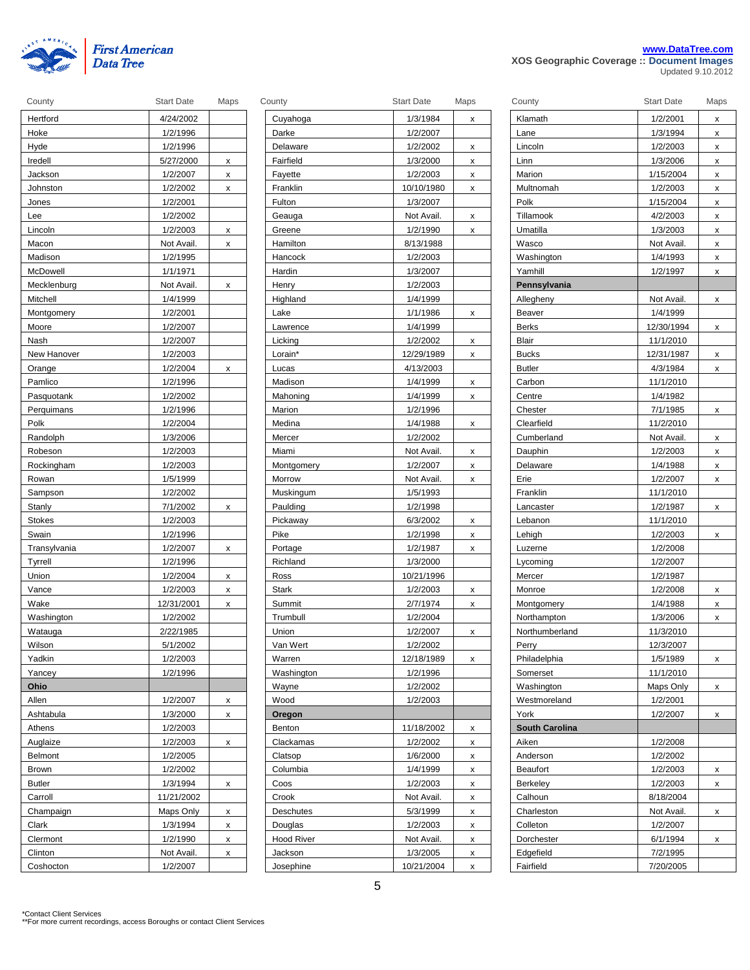

|  |  | www.DataTree.com                           |  |
|--|--|--------------------------------------------|--|
|  |  | XOS Geographic Coverage :: Document Images |  |

Updated 9.10.2012

| County         | <b>Start Date</b> | Maps | County            | <b>Start Date</b> | Maps | County                | <b>Start Date</b> | Maps         |
|----------------|-------------------|------|-------------------|-------------------|------|-----------------------|-------------------|--------------|
| Hertford       | 4/24/2002         |      | Cuyahoga          | 1/3/1984          | x    | Klamath               | 1/2/2001          | X            |
| Hoke           | 1/2/1996          |      | Darke             | 1/2/2007          |      | Lane                  | 1/3/1994          | X            |
| Hyde           | 1/2/1996          |      | Delaware          | 1/2/2002          | x    | Lincoln               | 1/2/2003          | X            |
| Iredell        | 5/27/2000         | x    | Fairfield         | 1/3/2000          | х    | Linn                  | 1/3/2006          | x            |
| Jackson        | 1/2/2007          | X    | Fayette           | 1/2/2003          | x    | Marion                | 1/15/2004         | X            |
| Johnston       | 1/2/2002          | X    | Franklin          | 10/10/1980        | x    | Multnomah             | 1/2/2003          | $\mathsf{x}$ |
| Jones          | 1/2/2001          |      | Fulton            | 1/3/2007          |      | Polk                  | 1/15/2004         | $\mathsf{x}$ |
| Lee            | 1/2/2002          |      | Geauga            | Not Avail.        | x    | Tillamook             | 4/2/2003          | x            |
| Lincoln        | 1/2/2003          | x    | Greene            | 1/2/1990          | x    | Umatilla              | 1/3/2003          | x            |
| Macon          | Not Avail.        | X    | Hamilton          | 8/13/1988         |      | Wasco                 | Not Avail.        | x            |
| Madison        | 1/2/1995          |      | Hancock           | 1/2/2003          |      | Washington            | 1/4/1993          | X            |
| McDowell       | 1/1/1971          |      | Hardin            | 1/3/2007          |      | Yamhill               | 1/2/1997          | X            |
| Mecklenburg    | Not Avail.        | x    | Henry             | 1/2/2003          |      | Pennsylvania          |                   |              |
| Mitchell       | 1/4/1999          |      | Highland          | 1/4/1999          |      | Allegheny             | Not Avail.        | X            |
| Montgomery     | 1/2/2001          |      | Lake              | 1/1/1986          | x    | Beaver                | 1/4/1999          |              |
| Moore          | 1/2/2007          |      | Lawrence          | 1/4/1999          |      | <b>Berks</b>          | 12/30/1994        | $\mathsf{X}$ |
| Nash           | 1/2/2007          |      | Licking           | 1/2/2002          | x    | Blair                 | 11/1/2010         |              |
| New Hanover    | 1/2/2003          |      | Lorain*           | 12/29/1989        | x    | <b>Bucks</b>          | 12/31/1987        | X            |
| Orange         | 1/2/2004          | X    | Lucas             | 4/13/2003         |      | <b>Butler</b>         | 4/3/1984          | X            |
| Pamlico        | 1/2/1996          |      | Madison           | 1/4/1999          | x    | Carbon                | 11/1/2010         |              |
| Pasquotank     | 1/2/2002          |      | Mahoning          | 1/4/1999          | х    | Centre                | 1/4/1982          |              |
| Perquimans     | 1/2/1996          |      | Marion            | 1/2/1996          |      | Chester               | 7/1/1985          | X            |
| Polk           | 1/2/2004          |      | Medina            | 1/4/1988          | x    | Clearfield            | 11/2/2010         |              |
| Randolph       | 1/3/2006          |      | Mercer            | 1/2/2002          |      | Cumberland            | Not Avail.        | X            |
| Robeson        | 1/2/2003          |      | Miami             | Not Avail.        | x    | Dauphin               | 1/2/2003          | X            |
| Rockingham     | 1/2/2003          |      | Montgomery        | 1/2/2007          | x    | Delaware              | 1/4/1988          | X            |
| Rowan          | 1/5/1999          |      | Morrow            | Not Avail.        | x    | Erie                  | 1/2/2007          | X            |
| Sampson        | 1/2/2002          |      | Muskingum         | 1/5/1993          |      | Franklin              | 11/1/2010         |              |
| Stanly         | 7/1/2002          | x    | Paulding          | 1/2/1998          |      | Lancaster             | 1/2/1987          | $\mathsf{x}$ |
| Stokes         | 1/2/2003          |      | Pickaway          | 6/3/2002          | х    | Lebanon               | 11/1/2010         |              |
| Swain          | 1/2/1996          |      | Pike              | 1/2/1998          | x    | Lehigh                | 1/2/2003          | X            |
| Transylvania   | 1/2/2007          | X    | Portage           | 1/2/1987          | x    | Luzerne               | 1/2/2008          |              |
| Tyrrell        | 1/2/1996          |      | Richland          | 1/3/2000          |      | Lycoming              | 1/2/2007          |              |
| Union          | 1/2/2004          | x    | Ross              | 10/21/1996        |      | Mercer                | 1/2/1987          |              |
| Vance          | 1/2/2003          | X    | Stark             | 1/2/2003          | x    | Monroe                | 1/2/2008          | X            |
| Wake           | 12/31/2001        | x    | Summit            | 2/7/1974          | x    | Montgomery            | 1/4/1988          | X            |
| Washington     | 1/2/2002          |      | Trumbull          | 1/2/2004          |      | Northampton           | 1/3/2006          | X            |
| Watauga        | 2/22/1985         |      | Union             | 1/2/2007          | x    | Northumberland        | 11/3/2010         |              |
| Wilson         | 5/1/2002          |      | Van Wert          | 1/2/2002          |      | Perry                 | 12/3/2007         |              |
| Yadkin         | 1/2/2003          |      | Warren            | 12/18/1989        | x    | Philadelphia          | 1/5/1989          | X            |
| Yancey         | 1/2/1996          |      | Washington        | 1/2/1996          |      | Somerset              | 11/1/2010         |              |
| <b>Ohio</b>    |                   |      | Wayne             | 1/2/2002          |      | Washington            | Maps Only         | X            |
| Allen          | 1/2/2007          | x    | Wood              | 1/2/2003          |      | Westmoreland          | 1/2/2001          |              |
| Ashtabula      | 1/3/2000          | X    | Oregon            |                   |      | York                  | 1/2/2007          | X            |
| Athens         | 1/2/2003          |      | Benton            | 11/18/2002        | x    | <b>South Carolina</b> |                   |              |
| Auglaize       | 1/2/2003          | X    | Clackamas         | 1/2/2002          | x    | Aiken                 | 1/2/2008          |              |
| <b>Belmont</b> | 1/2/2005          |      | Clatsop           | 1/6/2000          | х    | Anderson              | 1/2/2002          |              |
| Brown          | 1/2/2002          |      | Columbia          | 1/4/1999          | x    | <b>Beaufort</b>       | 1/2/2003          | X            |
| Butler         | 1/3/1994          | X    | Coos              | 1/2/2003          | X    | Berkeley              | 1/2/2003          | X            |
| Carroll        | 11/21/2002        |      | Crook             | Not Avail.        | X    | Calhoun               | 8/18/2004         |              |
| Champaign      | Maps Only         | x    | Deschutes         | 5/3/1999          | x    | Charleston            | Not Avail.        | X            |
| Clark          | 1/3/1994          | x    | Douglas           | 1/2/2003          | x    | Colleton              | 1/2/2007          |              |
| Clermont       | 1/2/1990          | x    | <b>Hood River</b> | Not Avail.        | x    | Dorchester            | 6/1/1994          | X            |
| Clinton        | Not Avail.        | X    | Jackson           | 1/3/2005          | x    | Edgefield             | 7/2/1995          |              |
| Coshocton      | 1/2/2007          |      | Josephine         | 10/21/2004        | x    | Fairfield             | 7/20/2005         |              |
|                |                   |      |                   |                   |      |                       |                   |              |

| Cuyahoga<br>1/3/1984<br>x<br>Darke<br>1/2/2007<br>Delaware<br>1/2/2002<br>x<br>Fairfield<br>1/3/2000<br>x<br>Fayette<br>1/2/2003<br>x<br>Franklin<br>10/10/1980<br>Χ<br>Fulton<br>1/3/2007<br>Geauga<br>Not Avail.<br>X<br>Greene<br>1/2/1990<br>х<br>Hamilton<br>8/13/1988<br>Hancock<br>1/2/2003<br>Hardin<br>1/3/2007<br>Henry<br>1/2/2003<br>Highland<br>1/4/1999<br>1/1/1986<br>Lake<br>х<br>1/4/1999<br>Lawrence<br>Licking<br>1/2/2002<br>x<br>12/29/1989<br>Lorain*<br>x<br>4/13/2003<br>Lucas<br>Madison<br>1/4/1999<br>x<br>Mahoning<br>1/4/1999<br>x<br>Marion<br>1/2/1996<br>1/4/1988<br>Medina<br>X<br>Mercer<br>1/2/2002<br>Miami<br>Not Avail.<br>x<br>1/2/2007<br><b>Montgomery</b><br>х<br>Morrow<br>Not Avail.<br>х<br>Muskingum<br>1/5/1993<br>Paulding<br>1/2/1998<br>Pickaway<br>6/3/2002<br>Χ<br>Pike<br>1/2/1998<br>x<br>Portage<br>1/2/1987<br>Χ<br><b>Richland</b><br>1/3/2000<br>Ross<br>10/21/1996<br><b>Stark</b><br>1/2/2003<br>x |
|----------------------------------------------------------------------------------------------------------------------------------------------------------------------------------------------------------------------------------------------------------------------------------------------------------------------------------------------------------------------------------------------------------------------------------------------------------------------------------------------------------------------------------------------------------------------------------------------------------------------------------------------------------------------------------------------------------------------------------------------------------------------------------------------------------------------------------------------------------------------------------------------------------------------------------------------------------------|
|                                                                                                                                                                                                                                                                                                                                                                                                                                                                                                                                                                                                                                                                                                                                                                                                                                                                                                                                                                |
|                                                                                                                                                                                                                                                                                                                                                                                                                                                                                                                                                                                                                                                                                                                                                                                                                                                                                                                                                                |
|                                                                                                                                                                                                                                                                                                                                                                                                                                                                                                                                                                                                                                                                                                                                                                                                                                                                                                                                                                |
|                                                                                                                                                                                                                                                                                                                                                                                                                                                                                                                                                                                                                                                                                                                                                                                                                                                                                                                                                                |
|                                                                                                                                                                                                                                                                                                                                                                                                                                                                                                                                                                                                                                                                                                                                                                                                                                                                                                                                                                |
|                                                                                                                                                                                                                                                                                                                                                                                                                                                                                                                                                                                                                                                                                                                                                                                                                                                                                                                                                                |
|                                                                                                                                                                                                                                                                                                                                                                                                                                                                                                                                                                                                                                                                                                                                                                                                                                                                                                                                                                |
|                                                                                                                                                                                                                                                                                                                                                                                                                                                                                                                                                                                                                                                                                                                                                                                                                                                                                                                                                                |
|                                                                                                                                                                                                                                                                                                                                                                                                                                                                                                                                                                                                                                                                                                                                                                                                                                                                                                                                                                |
|                                                                                                                                                                                                                                                                                                                                                                                                                                                                                                                                                                                                                                                                                                                                                                                                                                                                                                                                                                |
|                                                                                                                                                                                                                                                                                                                                                                                                                                                                                                                                                                                                                                                                                                                                                                                                                                                                                                                                                                |
|                                                                                                                                                                                                                                                                                                                                                                                                                                                                                                                                                                                                                                                                                                                                                                                                                                                                                                                                                                |
|                                                                                                                                                                                                                                                                                                                                                                                                                                                                                                                                                                                                                                                                                                                                                                                                                                                                                                                                                                |
|                                                                                                                                                                                                                                                                                                                                                                                                                                                                                                                                                                                                                                                                                                                                                                                                                                                                                                                                                                |
|                                                                                                                                                                                                                                                                                                                                                                                                                                                                                                                                                                                                                                                                                                                                                                                                                                                                                                                                                                |
|                                                                                                                                                                                                                                                                                                                                                                                                                                                                                                                                                                                                                                                                                                                                                                                                                                                                                                                                                                |
|                                                                                                                                                                                                                                                                                                                                                                                                                                                                                                                                                                                                                                                                                                                                                                                                                                                                                                                                                                |
|                                                                                                                                                                                                                                                                                                                                                                                                                                                                                                                                                                                                                                                                                                                                                                                                                                                                                                                                                                |
|                                                                                                                                                                                                                                                                                                                                                                                                                                                                                                                                                                                                                                                                                                                                                                                                                                                                                                                                                                |
|                                                                                                                                                                                                                                                                                                                                                                                                                                                                                                                                                                                                                                                                                                                                                                                                                                                                                                                                                                |
|                                                                                                                                                                                                                                                                                                                                                                                                                                                                                                                                                                                                                                                                                                                                                                                                                                                                                                                                                                |
|                                                                                                                                                                                                                                                                                                                                                                                                                                                                                                                                                                                                                                                                                                                                                                                                                                                                                                                                                                |
|                                                                                                                                                                                                                                                                                                                                                                                                                                                                                                                                                                                                                                                                                                                                                                                                                                                                                                                                                                |
|                                                                                                                                                                                                                                                                                                                                                                                                                                                                                                                                                                                                                                                                                                                                                                                                                                                                                                                                                                |
|                                                                                                                                                                                                                                                                                                                                                                                                                                                                                                                                                                                                                                                                                                                                                                                                                                                                                                                                                                |
|                                                                                                                                                                                                                                                                                                                                                                                                                                                                                                                                                                                                                                                                                                                                                                                                                                                                                                                                                                |
|                                                                                                                                                                                                                                                                                                                                                                                                                                                                                                                                                                                                                                                                                                                                                                                                                                                                                                                                                                |
|                                                                                                                                                                                                                                                                                                                                                                                                                                                                                                                                                                                                                                                                                                                                                                                                                                                                                                                                                                |
|                                                                                                                                                                                                                                                                                                                                                                                                                                                                                                                                                                                                                                                                                                                                                                                                                                                                                                                                                                |
|                                                                                                                                                                                                                                                                                                                                                                                                                                                                                                                                                                                                                                                                                                                                                                                                                                                                                                                                                                |
|                                                                                                                                                                                                                                                                                                                                                                                                                                                                                                                                                                                                                                                                                                                                                                                                                                                                                                                                                                |
|                                                                                                                                                                                                                                                                                                                                                                                                                                                                                                                                                                                                                                                                                                                                                                                                                                                                                                                                                                |
|                                                                                                                                                                                                                                                                                                                                                                                                                                                                                                                                                                                                                                                                                                                                                                                                                                                                                                                                                                |
|                                                                                                                                                                                                                                                                                                                                                                                                                                                                                                                                                                                                                                                                                                                                                                                                                                                                                                                                                                |
|                                                                                                                                                                                                                                                                                                                                                                                                                                                                                                                                                                                                                                                                                                                                                                                                                                                                                                                                                                |
|                                                                                                                                                                                                                                                                                                                                                                                                                                                                                                                                                                                                                                                                                                                                                                                                                                                                                                                                                                |
| Summit<br>2/7/1974<br>x                                                                                                                                                                                                                                                                                                                                                                                                                                                                                                                                                                                                                                                                                                                                                                                                                                                                                                                                        |
| Trumbull<br>1/2/2004                                                                                                                                                                                                                                                                                                                                                                                                                                                                                                                                                                                                                                                                                                                                                                                                                                                                                                                                           |
| Union<br>1/2/2007<br>x                                                                                                                                                                                                                                                                                                                                                                                                                                                                                                                                                                                                                                                                                                                                                                                                                                                                                                                                         |
| Van Wert<br>1/2/2002                                                                                                                                                                                                                                                                                                                                                                                                                                                                                                                                                                                                                                                                                                                                                                                                                                                                                                                                           |
| 12/18/1989<br>Warren<br>x                                                                                                                                                                                                                                                                                                                                                                                                                                                                                                                                                                                                                                                                                                                                                                                                                                                                                                                                      |
| Washington<br>1/2/1996                                                                                                                                                                                                                                                                                                                                                                                                                                                                                                                                                                                                                                                                                                                                                                                                                                                                                                                                         |
| Wayne<br>1/2/2002                                                                                                                                                                                                                                                                                                                                                                                                                                                                                                                                                                                                                                                                                                                                                                                                                                                                                                                                              |
|                                                                                                                                                                                                                                                                                                                                                                                                                                                                                                                                                                                                                                                                                                                                                                                                                                                                                                                                                                |
| Wood<br>1/2/2003                                                                                                                                                                                                                                                                                                                                                                                                                                                                                                                                                                                                                                                                                                                                                                                                                                                                                                                                               |
| Oregon                                                                                                                                                                                                                                                                                                                                                                                                                                                                                                                                                                                                                                                                                                                                                                                                                                                                                                                                                         |
| <b>Benton</b><br>11/18/2002<br>x                                                                                                                                                                                                                                                                                                                                                                                                                                                                                                                                                                                                                                                                                                                                                                                                                                                                                                                               |
| Clackamas<br>1/2/2002<br>x                                                                                                                                                                                                                                                                                                                                                                                                                                                                                                                                                                                                                                                                                                                                                                                                                                                                                                                                     |
| Clatsop<br>1/6/2000<br>x                                                                                                                                                                                                                                                                                                                                                                                                                                                                                                                                                                                                                                                                                                                                                                                                                                                                                                                                       |
| Columbia<br>1/4/1999<br>х                                                                                                                                                                                                                                                                                                                                                                                                                                                                                                                                                                                                                                                                                                                                                                                                                                                                                                                                      |
| Coos<br>1/2/2003<br>Χ                                                                                                                                                                                                                                                                                                                                                                                                                                                                                                                                                                                                                                                                                                                                                                                                                                                                                                                                          |
| Crook<br>Not Avail.<br>x                                                                                                                                                                                                                                                                                                                                                                                                                                                                                                                                                                                                                                                                                                                                                                                                                                                                                                                                       |
| Deschutes<br>5/3/1999<br>X                                                                                                                                                                                                                                                                                                                                                                                                                                                                                                                                                                                                                                                                                                                                                                                                                                                                                                                                     |
| Douglas<br>1/2/2003<br>x                                                                                                                                                                                                                                                                                                                                                                                                                                                                                                                                                                                                                                                                                                                                                                                                                                                                                                                                       |
| <b>Hood River</b><br>Not Avail.<br>X                                                                                                                                                                                                                                                                                                                                                                                                                                                                                                                                                                                                                                                                                                                                                                                                                                                                                                                           |
| Jackson<br>1/3/2005<br>X                                                                                                                                                                                                                                                                                                                                                                                                                                                                                                                                                                                                                                                                                                                                                                                                                                                                                                                                       |

| County                | <b>Start Date</b> | Maps |
|-----------------------|-------------------|------|
| Klamath               | 1/2/2001          | х    |
| Lane                  | 1/3/1994          | x    |
| Lincoln               | 1/2/2003          | x    |
| Linn                  | 1/3/2006          | x    |
| Marion                | 1/15/2004         | X    |
| Multnomah             | 1/2/2003          | x    |
| Polk                  | 1/15/2004         | X    |
| Tillamook             | 4/2/2003          | x    |
| Umatilla              | 1/3/2003          | x    |
| Wasco                 | Not Avail.        | x    |
| Washington            | 1/4/1993          | x    |
| Yamhill               | 1/2/1997          | x    |
| Pennsylvania          |                   |      |
| Allegheny             | Not Avail.        | x    |
| <b>Beaver</b>         | 1/4/1999          |      |
| <b>Berks</b>          | 12/30/1994        | x    |
| <b>Blair</b>          | 11/1/2010         |      |
| <b>Bucks</b>          | 12/31/1987        | x    |
| <b>Butler</b>         | 4/3/1984          | X    |
| Carbon                | 11/1/2010         |      |
| Centre                | 1/4/1982          |      |
| Chester               | 7/1/1985          | x    |
| Clearfield            | 11/2/2010         |      |
| Cumberland            | Not Avail.        | x    |
| Dauphin               | 1/2/2003          | x    |
| Delaware              | 1/4/1988          | x    |
| Erie                  | 1/2/2007          | x    |
| Franklin              | 11/1/2010         |      |
| Lancaster             | 1/2/1987          | X    |
| Lebanon               | 11/1/2010         |      |
| Lehigh                | 1/2/2003          | x    |
| Luzerne               | 1/2/2008          |      |
| Lycoming              | 1/2/2007          |      |
| Mercer                | 1/2/1987          |      |
| Monroe                | 1/2/2008          | x    |
| Montgomery            | 1/4/1988          | x    |
| Northampton           | 1/3/2006          | x    |
| Northumberland        | 11/3/2010         |      |
| Perry                 | 12/3/2007         |      |
| Philadelphia          | 1/5/1989          | x    |
| Somerset              | 11/1/2010         |      |
| Washington            | <u>Maps Only</u>  | x    |
| Westmoreland          | 1/2/2001          |      |
| York                  | 1/2/2007          | x    |
| <b>South Carolina</b> |                   |      |
| Aiken                 | 1/2/2008          |      |
| Anderson              | 1/2/2002          |      |
| Beaufort              | 1/2/2003          | x    |
| Berkeley              | 1/2/2003          | x    |
| Calhoun               | 8/18/2004         |      |
| Charleston            | Not Avail.        | x    |
| Colleton              | 1/2/2007          |      |
| Dorchester            | 6/1/1994          | х    |
| Edgefield             | 7/2/1995          |      |
| Fairfield             | 7/20/2005         |      |
|                       |                   |      |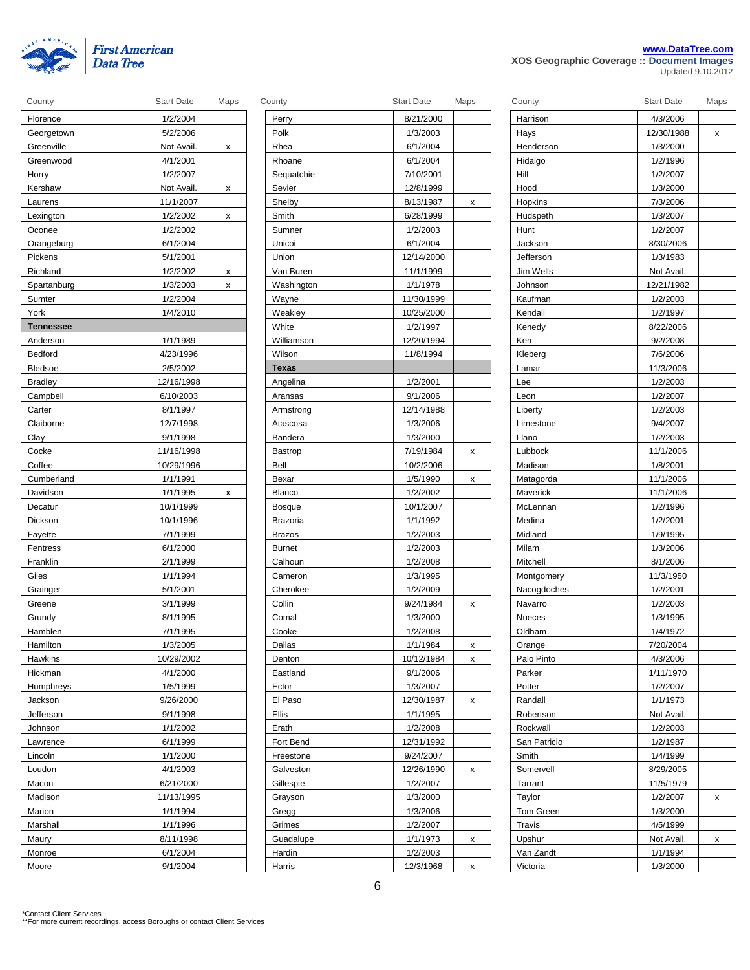

|  |  | www.DataTree.com                           |  |
|--|--|--------------------------------------------|--|
|  |  | XOS Geographic Coverage :: Document Images |  |

| ,,,,,,,          |            |          |
|------------------|------------|----------|
| Florence         | 1/2/2004   |          |
| Georgetown       | 5/2/2006   |          |
| Greenville       | Not Avail. | x        |
| Greenwood        | 4/1/2001   |          |
| Horry            | 1/2/2007   |          |
| Kershaw          | Not Avail. | $\times$ |
| Laurens          | 11/1/2007  |          |
| Lexington        | 1/2/2002   | x        |
| Oconee           | 1/2/2002   |          |
| Orangeburg       | 6/1/2004   |          |
| Pickens          | 5/1/2001   |          |
| Richland         | 1/2/2002   | x        |
| Spartanburg      | 1/3/2003   | X        |
| Sumter           | 1/2/2004   |          |
| York             | 1/4/2010   |          |
| <b>Tennessee</b> |            |          |
| Anderson         | 1/1/1989   |          |
| Bedford          | 4/23/1996  |          |
| <b>Bledsoe</b>   | 2/5/2002   |          |
| <b>Bradley</b>   | 12/16/1998 |          |
| Campbell         | 6/10/2003  |          |
| Carter           | 8/1/1997   |          |
| Claiborne        | 12/7/1998  |          |
| Clay             | 9/1/1998   |          |
| Cocke            | 11/16/1998 |          |
| Coffee           | 10/29/1996 |          |
| Cumberland       | 1/1/1991   |          |
| Davidson         | 1/1/1995   | х        |
| Decatur          | 10/1/1999  |          |
| Dickson          | 10/1/1996  |          |
| Fayette          | 7/1/1999   |          |
| Fentress         | 6/1/2000   |          |
| Franklin         | 2/1/1999   |          |
| Giles            | 1/1/1994   |          |
| Grainger         | 5/1/2001   |          |
| Greene           | 3/1/1999   |          |
| Grundy           | 8/1/1995   |          |
| Hamblen          | 7/1/1995   |          |
| Hamilton         | 1/3/2005   |          |
| Hawkins          | 10/29/2002 |          |
| Hickman          | 4/1/2000   |          |
| Humphreys        | 1/5/1999   |          |
| Jackson          | 9/26/2000  |          |
| Jefferson        | 9/1/1998   |          |
| Johnson          | 1/1/2002   |          |
| Lawrence         | 6/1/1999   |          |
| Lincoln          | 1/1/2000   |          |
| Loudon           | 4/1/2003   |          |
| Macon            | 6/21/2000  |          |
| Madison          | 11/13/1995 |          |
| Marion           | 1/1/1994   |          |
| Marshall         | 1/1/1996   |          |
| Maury            | 8/11/1998  |          |
| Monroe           | 6/1/2004   |          |
| Moore            | 9/1/2004   |          |

| County           | <b>Start Date</b> | Maps | County         | <b>Start Date</b> | Maps |
|------------------|-------------------|------|----------------|-------------------|------|
| Florence         | 1/2/2004          |      | Perry          | 8/21/2000         |      |
| Georgetown       | 5/2/2006          |      | Polk           | 1/3/2003          |      |
| Greenville       | Not Avail.        | x    | Rhea           | 6/1/2004          |      |
| Greenwood        | 4/1/2001          |      | Rhoane         | 6/1/2004          |      |
| Horry            | 1/2/2007          |      | Sequatchie     | 7/10/2001         |      |
| Kershaw          | Not Avail.        | x    | Sevier         | 12/8/1999         |      |
| Laurens          | 11/1/2007         |      | Shelby         | 8/13/1987         | x    |
| Lexington        | 1/2/2002          | x    | Smith          | 6/28/1999         |      |
| Oconee           | 1/2/2002          |      | Sumner         | 1/2/2003          |      |
| Orangeburg       | 6/1/2004          |      | Unicoi         | 6/1/2004          |      |
| Pickens          | 5/1/2001          |      | Union          | 12/14/2000        |      |
| Richland         | 1/2/2002          | x    | Van Buren      | 11/1/1999         |      |
| Spartanburg      | 1/3/2003          | x    | Washington     | 1/1/1978          |      |
| Sumter           | 1/2/2004          |      | Wayne          | 11/30/1999        |      |
| York             | 1/4/2010          |      | Weakley        | 10/25/2000        |      |
| <b>Tennessee</b> |                   |      | White          | 1/2/1997          |      |
| Anderson         | 1/1/1989          |      | Williamson     | 12/20/1994        |      |
| Bedford          | 4/23/1996         |      | Wilson         | 11/8/1994         |      |
| Bledsoe          | 2/5/2002          |      | <b>Texas</b>   |                   |      |
| <b>Bradley</b>   | 12/16/1998        |      | Angelina       | 1/2/2001          |      |
| Campbell         | 6/10/2003         |      | Aransas        | 9/1/2006          |      |
| Carter           | 8/1/1997          |      | Armstrong      | 12/14/1988        |      |
| Claiborne        | 12/7/1998         |      | Atascosa       | 1/3/2006          |      |
| Clay             | 9/1/1998          |      | Bandera        | 1/3/2000          |      |
| Cocke            | 11/16/1998        |      | <b>Bastrop</b> | 7/19/1984         | x    |
| Coffee           | 10/29/1996        |      | Bell           | 10/2/2006         |      |
| Cumberland       | 1/1/1991          |      | Bexar          | 1/5/1990          | x    |
| Davidson         | 1/1/1995          | x    | <b>Blanco</b>  | 1/2/2002          |      |
| Decatur          | 10/1/1999         |      | <b>Bosque</b>  | 10/1/2007         |      |
| Dickson          | 10/1/1996         |      | Brazoria       | 1/1/1992          |      |
| Fayette          | 7/1/1999          |      | <b>Brazos</b>  | 1/2/2003          |      |
| Fentress         | 6/1/2000          |      | <b>Burnet</b>  | 1/2/2003          |      |
| Franklin         | 2/1/1999          |      | Calhoun        | 1/2/2008          |      |
| Giles            | 1/1/1994          |      | Cameron        | 1/3/1995          |      |
| Grainger         | 5/1/2001          |      | Cherokee       | 1/2/2009          |      |
| Greene           | 3/1/1999          |      | Collin         | 9/24/1984         | x    |
| Grundy           | 8/1/1995          |      | Comal          | 1/3/2000          |      |
| Hamblen          | 7/1/1995          |      | Cooke          | 1/2/2008          |      |
| Hamilton         | 1/3/2005          |      | Dallas         | 1/1/1984          | х    |
| Hawkins          | 10/29/2002        |      | Denton         | 10/12/1984        | x    |
| Hickman          | 4/1/2000          |      | Eastland       | 9/1/2006          |      |
| Humphreys        | 1/5/1999          |      | Ector          | 1/3/2007          |      |
| Jackson          | 9/26/2000         |      | El Paso        | 12/30/1987        | x    |
| Jefferson        | 9/1/1998          |      | <b>Ellis</b>   | 1/1/1995          |      |
| Johnson          | 1/1/2002          |      | Erath          | 1/2/2008          |      |
| Lawrence         | 6/1/1999          |      | Fort Bend      | 12/31/1992        |      |
| Lincoln          | 1/1/2000          |      | Freestone      | 9/24/2007         |      |
| Loudon           | 4/1/2003          |      | Galveston      | 12/26/1990        | x    |
| Macon            | 6/21/2000         |      | Gillespie      | 1/2/2007          |      |
| Madison          | 11/13/1995        |      | Grayson        | 1/3/2000          |      |
| Marion           | 1/1/1994          |      | Gregg          | 1/3/2006          |      |
| Marshall         | 1/1/1996          |      | Grimes         | 1/2/2007          |      |
| Maury            | 8/11/1998         |      | Guadalupe      | 1/1/1973          | x    |
| Monroe           | 6/1/2004          |      | Hardin         | 1/2/2003          |      |
|                  | 9/1/2004          |      | Harris         | 12/3/1968         |      |
| Moore            |                   |      |                |                   | x    |

| County            | <b>Start Date</b> | Maps |
|-------------------|-------------------|------|
| Harrison          | 4/3/2006          |      |
| Hays              | 12/30/1988        | x    |
| Henderson         | 1/3/2000          |      |
| Hidalgo           | 1/2/1996          |      |
| Hill              | 1/2/2007          |      |
| Hood              | 1/3/2000          |      |
| Hopkins           | 7/3/2006          |      |
| Hudspeth          | 1/3/2007          |      |
| Hunt              | 1/2/2007          |      |
| Jackson           | 8/30/2006         |      |
| Jefferson         | 1/3/1983          |      |
| Jim Wells         | Not Avail.        |      |
| Johnson           | 12/21/1982        |      |
| Kaufman           | 1/2/2003          |      |
| Kendall           | 1/2/1997          |      |
| Kenedy            | 8/22/2006         |      |
| Kerr              | 9/2/2008          |      |
| Kleberg           | 7/6/2006          |      |
| Lamar             | 11/3/2006         |      |
| Lee               | 1/2/2003          |      |
| Leon              | 1/2/2007          |      |
| Liberty           | 1/2/2003          |      |
| Limestone         | 9/4/2007          |      |
| Llano             | 1/2/2003          |      |
| Lubbock           | 11/1/2006         |      |
| Madison           | 1/8/2001          |      |
| Matagorda         | 11/1/2006         |      |
| Maverick          | 11/1/2006         |      |
| McLennan          | 1/2/1996          |      |
| Medina            | 1/2/2001          |      |
| Midland           | 1/9/1995          |      |
| Milam             | 1/3/2006          |      |
| Mitchell          | 8/1/2006          |      |
| <b>Montgomery</b> | 11/3/1950         |      |
| Nacogdoches       | 1/2/2001          |      |
| Navarro           | 1/2/2003          |      |
| Nueces            | 1/3/1995          |      |
| Oldham            | 1/4/1972          |      |
| Orange            | 7/20/2004         |      |
| Palo Pinto        | 4/3/2006          |      |
| Parker            | 1/11/1970         |      |
| Potter            | 1/2/2007          |      |
| Randall           | 1/1/1973          |      |
| Robertson         | Not Avail.        |      |
| Rockwall          | 1/2/2003          |      |
| San Patricio      | 1/2/1987          |      |
| Smith             | 1/4/1999          |      |
| Somervell         | 8/29/2005         |      |
| Tarrant           | 11/5/1979         |      |
| Taylor            | 1/2/2007          | x    |
| <b>Tom Green</b>  | 1/3/2000          |      |
| Travis            | 4/5/1999          |      |
| Upshur            | Not Avail.        | х    |
| Van Zandt         | 1/1/1994          |      |
| Victoria          | 1/3/2000          |      |
|                   |                   |      |